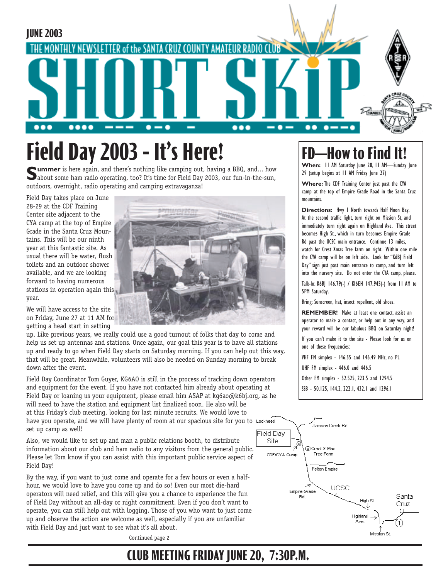

# **Field Day 2003 - It's Here!**

**Summer** is here again, and there's nothing like camping out, having a BBQ, and... how about some ham radio operating, too? It's time for Field Day 2003, our fun-in-the-sun, outdoors, overnight, radio operating and camping extravaganza!

Field Day takes place on June 28-29 at the CDF Training Center site adjacent to the CYA camp at the top of Empire Grade in the Santa Cruz Mountains. This will be our ninth year at this fantastic site. As usual there will be water, flush toilets and an outdoor shower available, and we are looking forward to having numerous stations in operation again this year.



We will have access to the site on Friday, June 27 at 11 AM for getting a head start in setting

up. Like previous years, we really could use a good turnout of folks that day to come and help us set up antennas and stations. Once again, our goal this year is to have all stations up and ready to go when Field Day starts on Saturday morning. If you can help out this way, that will be great. Meanwhile, volunteers will also be needed on Sunday morning to break down after the event.

Field Day Coordinator Tom Guyer, KG6AO is still in the process of tracking down operators and equipment for the event. If you have not contacted him already about operating at Field Day or loaning us your equipment, please email him ASAP at kg6ao@k6bj.org, as he will need to have the station and equipment list finalized soon. He also will be at this Friday's club meeting, looking for last minute recruits. We would love to have you operate, and we will have plenty of room at our spacious site for you to Lockheed set up camp as well!

Also, we would like to set up and man a public relations booth, to distribute information about our club and ham radio to any visitors from the general public. Please let Tom know if you can assist with this important public service aspect of Field Day!

By the way, if you want to just come and operate for a few hours or even a halfhour, we would love to have you come up and do so! Even our most die-hard operators will need relief, and this will give you a chance to experience the fun of Field Day without an all-day or night commitment. Even if you don't want to operate, you can still help out with logging. Those of you who want to just come up and observe the action are welcome as well, especially if you are unfamiliar with Field Day and just want to see what it's all about.

Continued page 2

## **FD—How to Fi**

**When:** 11 AM Saturday June 28, 11 AM—Sunday June 29 (setup begins at 11 AM Friday June 27)

**Where:** The CDF Training Center just past the CYA camp at the top of Empire Grade Road in the Santa Cruz mountains.

**Directions:** Hwy 1 North towards Half Moon Bay. At the second traffic light, turn right on Mission St, and immediately turn right again on Highland Ave. This street becomes High St., which in turn becomes Empire Grade Rd past the UCSC main entrance. Continue 13 miles, watch for Crest Xmas Tree farm on right. Within one mile the CYA camp will be on left side. Look for "K6BJ Field Day" sign just past main entrance to camp, and turn left into the nursery site. Do not enter the CYA camp, please.

Talk-In: K6BJ 146.79(-) / KI6EH 147.945(-) from 11 AM to 5PM Saturday.

Bring: Sunscreen, hat, insect repellent, old shoes.

**REMEMBER!** Make at least one contact, assist an operator to make a contact, or help out in any way, and your reward will be our fabulous BBQ on Saturday night!

If you can't make it to the site - Please look for us on one of these frequencies:

VHF FM simplex - 146.55 and 146.49 MHz, no PL

UHF FM simplex - 446.0 and 446.5

Other FM simplex - 52.525, 223.5 and 1294.5

SSB - 50.125, 144.2, 222.1, 432.1 and 1296.1



### **CLUB MEETING FRIDAY JUNE 20, 7:30P.M.**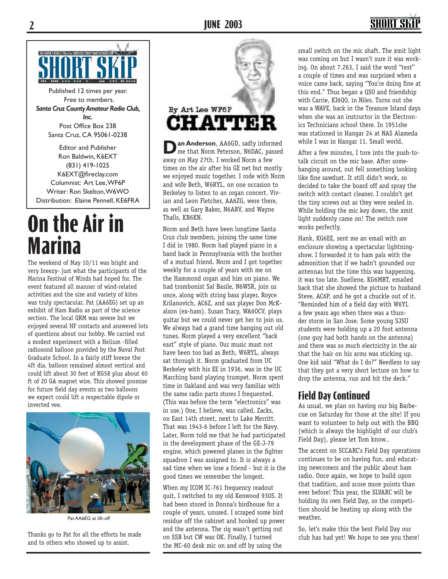

Published 12 times per year. Free to members. *Santa Cruz County Amateur Radio Club, Inc.* Post Office Box 238 Santa Cruz, CA 95061-0238

Editor and Publisher Ron Baldwin, K6EXT (831) 419-1025 K6EXT@fireclay.com Columnist: Art Lee, WF6P Writer: Ron Skelton, W6WO Distribution: Elaine Pennell, KE6FRA

# **On the Air in Marina**

The weekend of May 10/11 was bright and very breezy- just what the participants of the Marina Festival of Winds had hoped for. The event featured all manner of wind-related activities and the size and variety of kites was truly spectacular. Pat (AA6EG) set up an exhibit of Ham Radio as part of the science section. The local QRM was severe but we enjoyed several HF contacts and answered lots of questions about our hobby. We carried out a modest experiment with a Helium -filled radiosond balloon provided by the Naval Post Graduate School. In a fairly stiff breeze the 4ft dia. balloon remained almost vertical and could lift about 30 feet of RG58 plus about 60 ft of 20 GA magnet wire. This showed promise for future field day events as two balloons we expect could lift a respectable dipole or



Pat AA6EG at lift-off

Thanks go to Pat for all the efforts he made and to others who showed up to assist.



**Dan Anderson**, AA6GD, sadly informed me that Norm Peterson, N6DAC, passed away on May 27th. I worked Norm a few times on the air after his GE net but mostly we enjoyed music together. I rode with Norm and wife Beth, W6RYL, on one occasion to Berkeley to listen to an organ concert. Vivian and Leon Fletcher, AA6ZG, were there, as well as Gary Baker, N6ARV, and Wayne Thalls, KB6KN.

Norm and Beth have been longtime Santa Cruz club members, joining the same time I did in 1980. Norm had played piano in a band back in Pennsylvania with the brother of a mutual friend. Norm and I got together weekly for a couple of years with me on the Hammond organ and him on piano. We had trombonist Sal Basile, N6WSR, join us once, along with string bass player, Royce Krilanovich, AC6Z, and sax player Don McKalson (ex-ham). Susan Tracy, WA6OCV, plays guitar but we could never get her to join us. We always had a grand time banging out old tunes. Norm played a very excellent "back east" style of piano. Our music must not have been too bad as Beth, W6RYL, always sat through it. Norm graduated from UC Berkeley with his EE in 1936, was in the UC Marching band playing trumpet. Norm spent time in Oakland and was very familiar with the same radio parts stores I frequented. (This was before the term "electronics" was in use.) One, I believe, was called, Zacks, on East 14th street, next to Lake Merritt. That was 1943-6 before I left for the Navy. Later, Norm told me that he had participated in the development phase of the GE-J-79 engine, which powered planes in the fighter squadron I was assigned to. It is always a sad time when we lose a friend - but it is the good times we remember the longest. inverted vee. <br>As usual, we plan on having our big Barbe-

> When my ICOM IC-761 frequency readout quit, I switched to my old Kenwood 930S. It had been stored in Donna's birdhouse for a couple of years, unused. I scraped some bird residue off the cabinet and hooked up power and the antenna. The rig wasn't getting out on SSB but CW was OK. Finally, I turned the MC-60 desk mic on and off by using the

small switch on the mic shaft. The xmit light was coming on but I wasn't sure it was working. On about 7.263, I said the word "test" a couple of times and was surprised when a voice came back, saying "You're doing fine at this end." Thus began a QSO and friendship with Carrie, KI6QO, in Niles. Turns out she was a WAVE, back in the Treasure Island days when she was an instructor in the Electronics Technicians school there. In 1951she was stationed in Hangar 24 at NAS Alameda while I was in Hangar 11. Small world.

After a few minutes, I tore into the push-totalk circuit on the mic base. After somebanging around, out fell something looking like fine sawdust. It still didn't work, so decided to take the board off and spray the switch with contact cleaner. I couldn't get the tiny screws out as they were sealed in. While holding the mic key down, the xmit light suddenly came on! The switch now works perfectly.

Hank, KG6EE, sent me an email with an enclosure showing a spectacular lightningshow. I forwarded it to ham pals with the admonition that if we hadn't grounded our antennas but the time this was happening, it was too late. Suellene, KG6MBT, emailed back that she showed the picture to husband Steve, AC6P, and he got a chuckle out of it. "Reminded him of a field day with W6YL a few years ago when there was a thunder storm in San Jose. Some young SJSU students were holding up a 20 foot antenna (one guy had both hands on the antenna) and there was so much electricity in the air that the hair on his arms was sticking up. One kid said "What do I do?" Needless to say that they got a very short lecture on how to drop the antenna, run and hit the deck."

### **Field Day Continued**

cue on Saturday for those at the site! If you want to volunteer to help out with the BBQ (which is always the highlight of our club's Field Day), please let Tom know..

The accent on SCCARC's Field Day operations continues to be on having fun, and educating newcomers and the public about ham radio. Once again, we hope to build upon that tradition, and score more points than ever before! This year, the SLVARC will be holding its own Field Day, so the competition should be heating up along with the weather.

So, let's make this the best Field Day our club has had yet! We hope to see you there!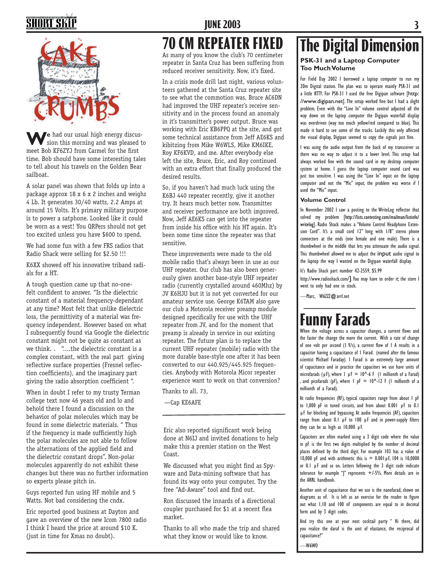# SHORT SK



**We** had our usual high energy discus-<br>sion this morning and was pleased to meet Bob KF6ZYJ from Carmel for the first time. Bob should have some interesting tales to tell about his travels on the Golden Bear sailboat.

A solar panel was shown that folds up into a package approx 18 x 6 x 2 inches and weighs 4 Lb. It generates 30/40 watts, 2.2 Amps at around 15 Volts. It's primary military purpose is to power a satphone. Looked like it could be worn as a vest! You QRPers should not get too excited unless you have \$600 to spend.

We had some fun with a few FRS radios that Radio Shack were selling for \$2.50 !!!

K6XX showed off his innovative triband radials for a HT.

A tough question came up that no-onefelt confident to answer. "Is the dielectric constant of a material frequency-dependant at any time? Most felt that unlike dielectric loss, the permittivity of a material was frequency independent. However based on what I subsequently found via Google the dielectric constant might not be quite as constant as we think. . "....the dielectric constant is a complex constant, with the real part giving reflective surface properties (Fresnel reflection coefficients), and the imaginary part giving the radio absorption coefficient ".

When in doubt I refer to my trusty Terman college text now 46 years old and lo and behold there I found a discussion on the behavior of polar molecules which may be found in some dielectric materials. " Thus if the frequency is made sufficiently high the polar molecules are not able to follow the alternations of the applied field and the dielectric constant drops". Non-polar molecules apparently do not exhibit these changes but there was no further information so experts please pitch in.

Guys reported fun using HF mobile and 5 Watts. Not bad considering the cndx.

Eric reported good business at Dayton and gave an overview of the new Icom 7800 radio I think I heard the price at around \$10 K. (just in time for Xmas no doubt).

### **JUNE 2003 3**

### **70 CM REPEATER FIXED**

As many of you know the club's 70 centimeter repeater in Santa Cruz has been suffering from reduced receiver sensitivity. Now, it's fixed.

In a crisis mode drill last night, various volunteers gathered at the Santa Cruz repeater site to see what the commotion was. Bruce AC6DN had improved the UHF repeater's receive sensitivity and in the process found an anomaly in it's transmitter's power output. Bruce was working with Eric KB6PPQ at the site, and got some technical assistance from Jeff AE6KS and kibitzing from Mike W6WLS, Mike KM6IKE, Roy KF6KVD, and me. After everybody else left the site, Bruce, Eric, and Roy continued with an extra effort that finally produced the desired results.

So, if you haven't had much luck using the K6BJ 440 repeater recently, give it another try. It hears much better now. Transmitter and receiver performance are both improved. Now, Jeff AE6KS can get into the repeater from inside his office with his HT again. It's been some time since the repeater was that sensitive.

These improvements were made to the old mobile radio that's always been in use as our UHF repeater. Our club has also been generously given another base-style UHF repeater radio (currently crystalled around 460Mhz) by JV K6HJU but it is not yet converted for our amateur service use. George K6TAM also gave our club a Motorola receiver preamp module designed specifically for use with the UHF repeater from JV, and for the moment that preamp is already in service in our existing repeater. The future plan is to replace the current UHF repeater (mobile) radio with the more durable base-style one after it has been converted to our 440.925/445.925 frequencies. Anybody with Motorola Micor repeater experience want to work on that conversion?

Thanks to all. 73,

—Cap KE6AFE

Eric also reported significant work being done at N6IJ and invited donations to help make this a premier station on the West Coast.

We discussed what you might find as Spyware and Data-mining software that has found its way onto your computer. Try the free "Ad-Aware" tool and find out.

Ron discussed the innards of a directional coupler purchased for \$1 at a recent flea market.

Thanks to all who made the trip and shared what they know or would like to know.

# **The Digital Dimension**

#### **PSK-31 and a Laptop Computer Too Much Volume**

For Field Day 2002 I borrowed a laptop computer to run my 20m Digital station. The plan was to operate mainly PSK-31 and a little RTTY. For PSK-31 I used the free Digipan software [http: //www.digipan.net]. The setup worked fine but I had a slight problem. Even with the "Line In" volume control adjusted all the way down on the laptop computer the Digipan waterfall display was overdriven (way too much yellow/red compared to blue). This made it hard to see some of the tracks. Luckily this only affected the visual display, Digipan seemed to copy the signals just fine.

I was using the audio output from the back of my transceiver so there was no way to adjust it to a lower level. This setup had always worked fine with the sound card in my desktop computer system at home. I guess the laptop computer sound card was just too sensitive. I was using the "Line In" input on the laptop computer and not the "Mic" input, the problem was worse if I used the "Mic" input.

#### **Volume Control**

In November 2002 I saw a posting to the WriteLog reflector that solved my problem [http://lists.contesting.com/mailman/listinfo/ writelog]. Radio Shack makes a "Volume Control Headphone Extension Cord". It's a small cord 12" long with 1/8" stereo phone connectors at the ends (one female and one male). There is a thumbwheel in the middle that lets you attenuate the audio signal. This thumbwheel allowed me to adjust the input audio signal to the laptop the way I wanted on the Digipan waterfall display.

#### It's Radio Shack part number 42-2559, \$5.99

http://www.radioshack.com/]. You may have to order it; the store I went to only had one in stock.

—Marc, W6ZZZ@arrl.net

## **Funny Farads**

When the voltage across a capacitor changes, a current flows and the faster the change the more the current. With a rate of change of one volt per second  $(1 \text{ V/s})$ , a current flow of I A results in a capacitor having a capacitance of 1 Farad. (named after the famous scientist Michael Faraday). 1 Farad is an extremely large amount of capacitance and in practice the capacitors we use have units of microfarads ( $\mu$ F), where  $\mu$   $\mu$  F = 10^-6 F (1 millionth of a Farad) and picofarads (pF), where  $1$  pF =  $10^{\circ}$ -12 F (1 millionth of a millionth of a Farad).

At radio frequencies (RF), typical capacitors range from about 1 pF to 1,000 pF in tuned circuits, and from about 0.001 µF to 0.1 µF for blocking and bypassing. At audio frequencies (AF), capacitors range from about  $0.1$   $\mu$ F to  $100$   $\mu$ F and in power-supply filters they can be as high as 10,000 µF.

Capacitors are often marked using a 3 digit code where the value in pF is the first two digits multiplied by the number of decimal places defined by the third digit. For example 103 has a value of 10,000 pF and with arithmetic this is  $= 0.001 \,\mu$ F, 104 is 10,0000 or 0.1 µF and so on. Letters following the 3 digit code indicate tolerance for example "|" represents  $+/-5%$ . More details are in the ARRL handbook.

Another unit of capacitance that we use is the nanofarad, shown on diagrams as nF. It is left as an exercise for the reader to figure out what 1,10 and 100 nF components are equal to in decimal form and by 3 digit codes.

And try this one at your next cocktail party " Hi there, did you realize the daraf is the unit of elastance, the reciprocal of capacitance?"

—W6WO